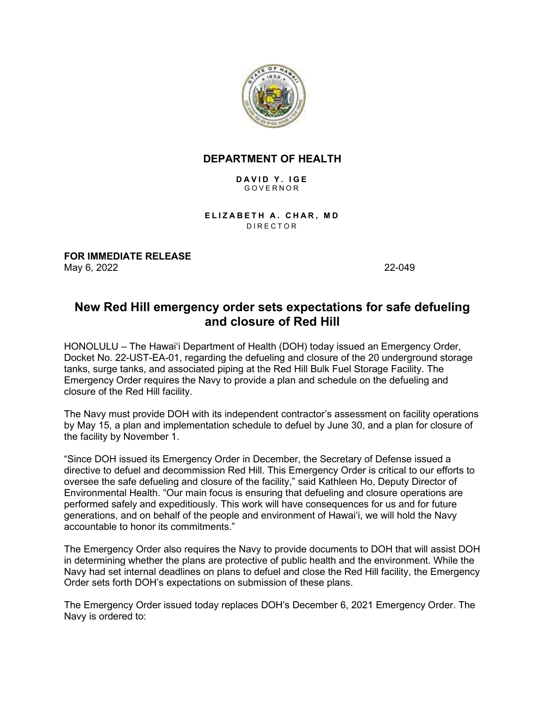

## **DEPARTMENT OF HEALTH**

**DAVID Y. IGE** GOVERNOR

**ELIZABETH A. CHAR, MD** DIRECTOR

**FOR IMMEDIATE RELEASE** May 6, 2022 22-049

## **New Red Hill emergency order sets expectations for safe defueling and closure of Red Hill**

HONOLULU – The Hawaiʻi Department of Health (DOH) today issued an Emergency Order, Docket No. 22-UST-EA-01, regarding the defueling and closure of the 20 underground storage tanks, surge tanks, and associated piping at the Red Hill Bulk Fuel Storage Facility. The Emergency Order requires the Navy to provide a plan and schedule on the defueling and closure of the Red Hill facility.

The Navy must provide DOH with its independent contractor's assessment on facility operations by May 15, a plan and implementation schedule to defuel by June 30, and a plan for closure of the facility by November 1.

"Since DOH issued its Emergency Order in December, the Secretary of Defense issued a directive to defuel and decommission Red Hill. This Emergency Order is critical to our efforts to oversee the safe defueling and closure of the facility," said Kathleen Ho, Deputy Director of Environmental Health. "Our main focus is ensuring that defueling and closure operations are performed safely and expeditiously. This work will have consequences for us and for future generations, and on behalf of the people and environment of Hawaiʻi, we will hold the Navy accountable to honor its commitments."

The Emergency Order also requires the Navy to provide documents to DOH that will assist DOH in determining whether the plans are protective of public health and the environment. While the Navy had set internal deadlines on plans to defuel and close the Red Hill facility, the Emergency Order sets forth DOH's expectations on submission of these plans.

The Emergency Order issued today replaces DOH's December 6, 2021 Emergency Order. The Navy is ordered to: